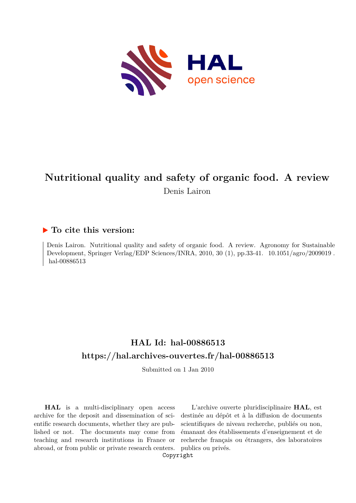

# **Nutritional quality and safety of organic food. A review** Denis Lairon

# **To cite this version:**

Denis Lairon. Nutritional quality and safety of organic food. A review. Agronomy for Sustainable Development, Springer Verlag/EDP Sciences/INRA,  $2010$ ,  $30$  (1), pp.33-41.  $10.1051/agro/2009019$ . hal-00886513

# **HAL Id: hal-00886513 <https://hal.archives-ouvertes.fr/hal-00886513>**

Submitted on 1 Jan 2010

**HAL** is a multi-disciplinary open access archive for the deposit and dissemination of scientific research documents, whether they are published or not. The documents may come from teaching and research institutions in France or abroad, or from public or private research centers.

L'archive ouverte pluridisciplinaire **HAL**, est destinée au dépôt et à la diffusion de documents scientifiques de niveau recherche, publiés ou non, émanant des établissements d'enseignement et de recherche français ou étrangers, des laboratoires publics ou privés.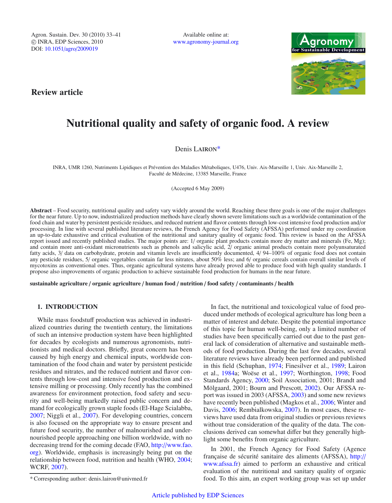Agron. Sustain. Dev. 30 (2010) 33–41 -c INRA, EDP Sciences, 2010 DOI: 10.1051/agro/[2009019](http://dx.doi.org/10.1051/agro/2009019)

Available online at: [www.agronomy-journal.org](http://www.agronomy-journal.org)



**Review article**

# **Nutritional quality and safety of organic food. A review**

Denis LAIRON\*

INRA, UMR 1260, Nutriments Lipidiques et Prévention des Maladies Métaboliques, U476, Univ. Aix-Marseille 1, Univ. Aix-Marseille 2, Faculté de Médecine, 13385 Marseille, France

(Accepted 6 May 2009)

**Abstract** – Food security, nutritional quality and safety vary widely around the world. Reaching these three goals is one of the major challenges for the near future. Up to now, industrialized production methods have clearly shown severe limitations such as a worldwide contamination of the food chain and water by persistent pesticide residues, and reduced nutrient and flavor contents through low-cost intensive food production and/or processing. In line with several published literature reviews, the French Agency for Food Safety (AFSSA) performed under my coordination an up-to-date exhaustive and critical evaluation of the nutritional and sanitary quality of organic food. This review is based on the AFSSA report issued and recently published studies. The major points are: 1/ organic plant products contain more dry matter and minerals (Fe, Mg); and contain more anti-oxidant micronutrients such as phenols and salicylic acid, 2/ organic animal products contain more polyunsaturated fatty acids, 3/ data on carbohydrate, protein and vitamin levels are insufficiently documented, 4/ 94–100% of organic food does not contain any pesticide residues, 5/ organic vegetables contain far less nitrates, about 50% less; and 6/ organic cereals contain overall similar levels of mycotoxins as conventional ones. Thus, organic agricultural systems have already proved able to produce food with high quality standards. I propose also improvements of organic production to achieve sustainable food production for humans in the near future.

**sustainable agriculture** / **organic agriculture** / **human food** / **nutrition** / **food safety** / **contaminants** / **health**

## **1. INTRODUCTION**

While mass foodstuff production was achieved in industrialized countries during the twentieth century, the limitations of such an intensive production system have been highlighted for decades by ecologists and numerous agronomists, nutritionists and medical doctors. Briefly, great concern has been caused by high energy and chemical inputs, worldwide contamination of the food chain and water by persistent pesticide residues and nitrates, and the reduced nutrient and flavor contents through low-cost and intensive food production and extensive milling or processing. Only recently has the combined awareness for environment protection, food safety and security and well-being markedly raised public concern and demand for ecologically grown staple foods (El-Hage Scialabba, 2007; Niggli et al., 2007). For developing countries, concern is also focused on the appropriate way to ensure present and future food security, the number of malnourished and undernourished people approaching one billion worldwide, with no decreasing trend for the coming decade (FAO, http://[www.fao.](http://www.fao.org) [org\)](http://www.fao.org). Worldwide, emphasis is increasingly being put on the relationship between food, nutrition and health (WHO, 2004; WCRF, 2007).

In fact, the nutritional and toxicological value of food produced under methods of ecological agriculture has long been a matter of interest and debate. Despite the potential importance of this topic for human well-being, only a limited number of studies have been specifically carried out due to the past general lack of consideration of alternative and sustainable methods of food production. During the last few decades, several literature reviews have already been performed and published in this field (Schuphan, 1974; Finesilver et al., 1989; Lairon et al., 1984a; Woëse et al., 1997; Worthington, 1998; Food Standards Agency, 2000; Soil Association, 2001; Brandt and Mölgaard, 2001; Bourn and Prescott, 2002). Our AFSSA report was issued in 2003 (AFSSA, 2003) and some new reviews have recently been published (Magkos et al., 2006; Winter and Davis, 2006; Rembialkowska, 2007). In most cases, these reviews have used data from original studies or previous reviews without true consideration of the quality of the data. The conclusions derived can somewhat differ but they generally highlight some benefits from organic agriculture.

In 2001, the French Agency for Food Safety (Agence française de sécurité sanitaire des aliments (AFSSA), [http:](http://www.afssa.fr)// [www.afssa.fr\)](http://www.afssa.fr) aimed to perform an exhaustive and critical evaluation of the nutritional and sanitary quality of organic food. To this aim, an expert working group was set up under

<sup>\*</sup> Corresponding author: denis.lairon@univmed.fr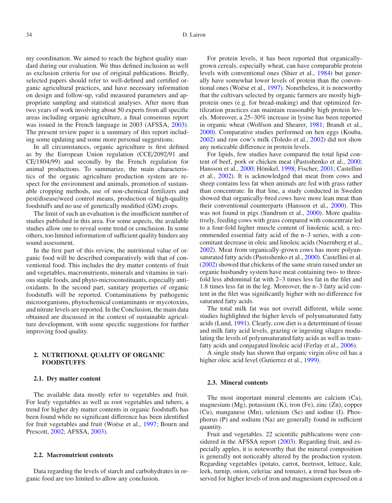my coordination. We aimed to reach the highest quality standard during our evaluation. We thus defined inclusion as well as exclusion criteria for use of original publications. Briefly, selected papers should refer to well-defined and certified organic agricultural practices, and have necessary information on design and follow-up, valid measured parameters and appropriate sampling and statistical analyses. After more than two years of work involving about 50 experts from all specific areas including organic agriculture, a final consensus report was issued in the French language in 2003 (AFSSA, 2003). The present review paper is a summary of this report including some updating and some more personal suggestions.

In all circumstances, organic agriculture is first defined as by the European Union regulation (CCE/2092/91 and CE/1804/99) and secondly by the French regulation for animal productions. To summarize, the main characteristics of the organic agriculture production system are respect for the environment and animals, promotion of sustainable cropping methods, use of non-chemical fertilizers and pest/disease/weed control means, production of high-quality foodstuffs and no use of genetically modified (GM) crops.

The limit of such an evaluation is the insufficient number of studies published in this area. For some aspects, the available studies allow one to reveal some trend or conclusion. In some others, too limited information of sufficient quality hinders any sound assessment.

In the first part of this review, the nutritional value of organic food will be described comparatively with that of conventional food. This includes the dry matter contents of fruit and vegetables, macronutrients, minerals and vitamins in various staple foods, and phyto-microconstituants, especially antioxidants. In the second part, sanitary properties of organic foodstuffs will be reported. Contaminations by pathogenic microorganisms, phytochemical contaminants or mycotoxins, and nitrate levels are reported. In the Conclusion, the main data obtained are discussed in the context of sustainable agriculture development, with some specific suggestions for further improving food quality.

## **2. NUTRITIONAL QUALITY OF ORGANIC FOODSTUFFS**

#### **2.1. Dry matter content**

The available data mostly refer to vegetables and fruit. For leafy vegetables as well as root vegetables and tubers, a trend for higher dry matter contents in organic foodstuffs has been found while no significant difference has been identified for fruit vegetables and fruit (Woëse et al., 1997; Bourn and Prescott, 2002; AFSSA, 2003).

#### **2.2. Macronutrient contents**

Data regarding the levels of starch and carbohydrates in organic food are too limited to allow any conclusion.

For protein levels, it has been reported that organicallygrown cereals, especially wheat, can have comparable protein levels with conventional ones (Shier et al., 1984) but generally have somewhat lower levels of protein than the conventional ones (Woëse et al., 1997). Nonetheless, it is noteworthy that the cultivars selected by organic farmers are mostly highprotein ones (e.g. for bread-making) and that optimized fertilization practices can maintain reasonably high protein levels. Moreover, a 25–30% increase in lysine has been reported in organic wheat (Wolfson and Shearer, 1981; Brandt et al., 2000). Comparative studies performed on hen eggs (Kouba, 2002) and raw cow's milk (Toledo et al., 2002) did not show any noticeable difference in protein levels.

For lipids, few studies have compared the total lipid content of beef, pork or chicken meat (Pastsshenko et al., 2000; Hansson et al., 2000; Hönikel, 1998; Fischer, 2001; Castellini et al., 2002). It is acknowledged that meat from cows and sheep contains less fat when animals are fed with grass rather than concentrate. In that line, a study conducted in Sweden showed that organically-bred cows have more lean meat than their conventional counterparts (Hansson et al., 2000). This was not found in pigs (Sundrum et al., 2000). More qualitatively, feeding cows with grass compared with concentrate led to a four-fold higher muscle content of linolenic acid, a recommended essential fatty acid of the n–3 series, with a concomitant decrease in oleic and linoleic acids (Nuernberg et al., 2002). Meat from organically-grown cows has more polyunsaturated fatty acids (Pastsshenko et al., 2000). Castellini et al. (2002) showed that chickens of the same strain raised under an organic husbandry system have meat containing two- to threefold less abdominal fat with 2–3 times less fat in the filet and 1.8 times less fat in the leg. Moreover, the n–3 fatty acid content in the filet was significantly higher with no difference for saturated fatty acids.

The total milk fat was not overall different, while some studies highlighted the higher levels of polyunsaturated fatty acids (Lund, 1991). Clearly, cow diet is a determinant of tissue and milk fatty acid levels, grazing or ingesting silages modulating the levels of polyunsaturated fatty acids as well as transfatty acids and conjugated linoleic acid (Ferlay et al., 2006).

A single study has shown that organic virgin olive oil has a higher oleic acid level (Gutierrez et al., 1999).

#### **2.3. Mineral contents**

The most important mineral elements are calcium (Ca), magnesium (Mg), potassium (K), iron (Fe), zinc (Zn), copper (Cu), manganese (Mn), selenium (Se) and iodine (I). Phosphorus (P) and sodium (Na) are generally found in sufficient quantity.

Fruit and vegetables. 22 scientific publications were considered in the AFSSA report (2003). Regarding fruit, and especially apples, it is noteworthy that the mineral composition is generally not noticeably altered by the production system. Regarding vegetables (potato, carrot, beetroot, lettuce, kale, leek, turnip, onion, celeriac and tomato), a trend has been observed for higher levels of iron and magnesium expressed on a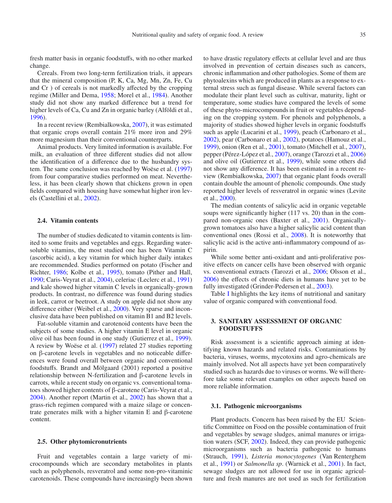fresh matter basis in organic foodstuffs, with no other marked change.

Cereals. From two long-term fertilization trials, it appears that the mineral composition (P, K, Ca, Mg, Mn, Zn, Fe, Cu and Cr ) of cereals is not markedly affected by the cropping regime (Miller and Dema, 1958; Morel et al., 1984). Another study did not show any marked difference but a trend for higher levels of Ca, Cu and Zn in organic barley (Alföldi et al., 1996).

In a recent review (Rembialkowska, 2007), it was estimated that organic crops overall contain 21% more iron and 29% more magnesium than their conventional counterparts.

Animal products. Very limited information is available. For milk, an evaluation of three different studies did not allow the identification of a difference due to the husbandry system. The same conclusion was reached by Woëse et al. (1997) from four comparative studies performed on meat. Nevertheless, it has been clearly shown that chickens grown in open fields compared with housing have somewhat higher iron levels (Castellini et al., 2002).

#### **2.4. Vitamin contents**

The number of studies dedicated to vitamin contents is limited to some fruits and vegetables and eggs. Regarding watersoluble vitamins, the most studied one has been Vitamin C (ascorbic acid), a key vitamin for which higher daily intakes are recommended. Studies performed on potato (Fischer and Richter, 1986; Kolbe et al., 1995), tomato (Pither and Hall, 1990; Caris-Veyrat et al., 2004), celeriac (Leclerc et al., 1991) and kale showed higher vitamin C levels in organically-grown products. In contrast, no difference was found during studies in leek, carrot or beetroot. A study on apple did not show any difference either (Weibel et al., 2000). Very sparse and inconclusive data have been published on vitamin B1 and B2 levels.

Fat-soluble vitamin and carotenoid contents have been the subjects of some studies. A higher vitamin E level in organic olive oil has been found in one study (Gutierrez et al., 1999). A review by Woëse et al. (1997) related 27 studies reporting on β-carotene levels in vegetables and no noticeable differences were found overall between organic and conventional foodstuffs. Brandt and Mölgaard (2001) reported a positive relationship between N-fertilization and β-carotene levels in carrots, while a recent study on organic vs. conventional tomatoes showed higher contents of β-carotene (Caris-Veyrat et al., 2004). Another report (Martin et al., 2002) has shown that a grass-rich regimen compared with a maize silage or concentrate generates milk with a higher vitamin E and β-carotene content.

#### **2.5. Other phytomicronutrients**

Fruit and vegetables contain a large variety of microcompounds which are secondary metabolites in plants such as polyphenols, resveratrol and some non-pro-vitaminic carotenoids. These compounds have increasingly been shown

to have drastic regulatory effects at cellular level and are thus involved in prevention of certain diseases such as cancers, chronic inflammation and other pathologies. Some of them are phytoalexins which are produced in plants as a response to external stress such as fungal disease. While several factors can modulate their plant level such as cultivar, maturity, light or temperature, some studies have compared the levels of some of these phyto-microcompounds in fruit or vegetables depending on the cropping system. For phenols and polyphenols, a majority of studies showed higher levels in organic foodstuffs such as apple (Lucarini et al., 1999), peach (Carbonaro et al., 2002), pear (Carbonaro et al., 2002), potatoes (Hamouz et al., 1999), onion (Ren et al., 2001), tomato (Mitchell et al., 2007), pepper (Pérez-López et al., 2007), orange (Tarozzi et al., 2006) and olive oil (Gutierrez et al., 1999), while some others did not show any difference. It has been estimated in a recent review (Rembialkowska, 2007) that organic plant foods overall contain double the amount of phenolic compounds. One study reported higher levels of resveratrol in organic wines (Levite et al., 2000).

The median contents of salicylic acid in organic vegetable soups were significantly higher (117 vs. 20) than in the compared non-organic ones (Baxter et al., 2001). Organicallygrown tomatoes also have a higher salicylic acid content than conventional ones (Rossi et al., 2008). It is noteworthy that salicylic acid is the active anti-inflammatory compound of aspirin.

While some better anti-oxidant and anti-proliferative positive effects on cancer cells have been observed with organic vs. conventional extracts (Tarozzi et al., 2006; Olsson et al., 2006) the effects of chronic diets in humans have yet to be fully investigated (Grinder-Pedersen et al., 2003).

Table I highlights the key items of nutritional and sanitary value of organic compared with conventional food.

# **3. SANITARY ASSESSMENT OF ORGANIC FOODSTUFFS**

Risk assessment is a scientific approach aiming at identifying known hazards and related risks. Contaminations by bacteria, viruses, worms, mycotoxins and agro-chemicals are mainly involved. Not all aspects have yet been comparatively studied such as hazards due to viruses or worms. We will therefore take some relevant examples on other aspects based on more reliable information.

#### **3.1. Pathogenic microorganisms**

Plant products. Concern has been raised by the EU Scientific Committee on Food on the possible contamination of fruit and vegetables by sewage sludges, animal manures or irrigation waters (SCF, 2002). Indeed, they can provide pathogenic microorganisms such as bacteria pathogenic to humans (Strauch, 1991), *Listeria monocytogenes* (Van Renterghem et al., 1991) or *Salmonella sp*. (Warnick et al., 2001). In fact, sewage sludges are not allowed for use in organic agriculture and fresh manures are not used as such for fertilization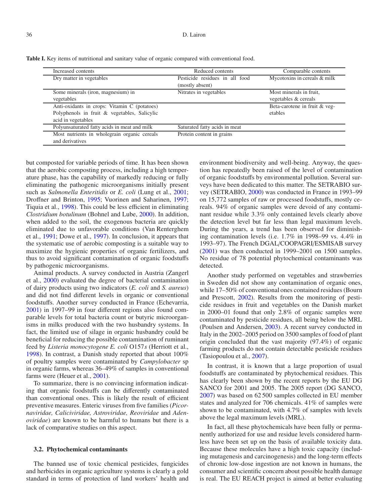| Table I. Key items of nutritional and sanitary value of organic compared with conventional food. |  |  |  |
|--------------------------------------------------------------------------------------------------|--|--|--|
|--------------------------------------------------------------------------------------------------|--|--|--|

| Increased contents                                                                                                 | Reduced contents                                  | Comparable contents                             |
|--------------------------------------------------------------------------------------------------------------------|---------------------------------------------------|-------------------------------------------------|
| Dry matter in vegetables                                                                                           | Pesticide residues in all food<br>(mostly absent) | Mycotoxins in cereals & milk                    |
| Some minerals (iron, magnesium) in<br>vegetables                                                                   | Nitrates in vegetables                            | Most minerals in fruit,<br>vegetables & cereals |
| Anti-oxidants in crops: Vitamin C (potatoes)<br>Polyphenols in fruit & vegetables, Salicylic<br>acid in vegetables |                                                   | Beta-carotene in fruit & veg-<br>etables        |
| Polyunsaturated fatty acids in meat and milk                                                                       | Saturated fatty acids in meat                     |                                                 |
| Most nutrients in wholegrain organic cereals<br>and derivatives                                                    | Protein content in grains                         |                                                 |

but composted for variable periods of time. It has been shown that the aerobic composting process, including a high temperature phase, has the capability of markedly reducing or fully eliminating the pathogenic microorganisms initially present such as *Salmonella Enteritidis* or *E. coli* (Lung et al., 2001; Droffner and Brinton, 1995; Vuorinen and Saharinen, 1997; Tiquia et al., 1998). This could be less efficient in eliminating *Clostridium botulinum* (Bohnel and Lube, 2000). In addition, when added to the soil, the exogenous bacteria are quickly eliminated due to unfavorable conditions (Van Renterghem et al., 1991; Dowe et al., 1997). In conclusion, it appears that the systematic use of aerobic composting is a suitable way to maximize the hygienic properties of organic fertilizers, and thus to avoid significant contamination of organic foodstuffs by pathogenic microorganisms.

Animal products. A survey conducted in Austria (Zangerl et al., 2000) evaluated the degree of bacterial contamination of dairy products using two indicators (*E. coli* and *S. aureus*) and did not find different levels in organic or conventional foodstuffs. Another survey conducted in France (Echevarria, 2001) in 1997–99 in four different regions also found comparable levels for total bacteria count or butyric microorganisms in milks produced with the two husbandry systems. In fact, the limited use of silage in organic husbandry could be beneficial for reducing the possible contamination of ruminant feed by *Listeria monocytogene E. coli* O157*s* (Herriott et al., 1998). In contrast, a Danish study reported that about 100% of poultry samples were contaminated by *Campylobacter* sp in organic farms, whereas 36–49% of samples in conventional farms were (Heuer et al., 2001).

To summarize, there is no convincing information indicating that organic foodstuffs can be differently contaminated than conventional ones. This is likely the result of efficient preventive measures. Enteric viruses from five families (*Picornaviridae, Caliciviridae, Astroviridae, Reoviridae* and *Adenoviridae*) are known to be harmful to humans but there is a lack of comparative studies on this aspect.

### **3.2. Phytochemical contaminants**

The banned use of toxic chemical pesticides, fungicides and herbicides in organic agriculture systems is clearly a gold standard in terms of protection of land workers' health and environment biodiversity and well-being. Anyway, the question has repeatedly been raised of the level of contamination of organic foodstuffs by environmental pollution. Several surveys have been dedicated to this matter. The SETRABIO survey (SETRABIO, 2000) was conducted in France in 1993–99 on 15,772 samples of raw or processed foodstuffs, mostly cereals. 94% of organic samples were devoid of any contaminant residue while 3.3% only contained levels clearly above the detection level but far less than legal maximum levels. During the years, a trend has been observed for diminishing contamination levels (i.e. 1.7% in 1998–99 vs. 4.4% in 1993–97). The French DGAL/COOPAGRI/ESMISAB survey (2001) was then conducted in 1999–2001 on 1500 samples. No residue of 78 potential phytochemical contaminants was detected.

Another study performed on vegetables and strawberries in Sweden did not show any contamination of organic ones, while 17–50% of conventional ones contained residues (Bourn and Prescott, 2002). Results from the monitoring of pesticide residues in fruit and vegetables on the Danish market in 2000–01 found that only 2.8% of organic samples were contaminated by pesticide residues, all being below the MRL (Poulsen and Andersen, 2003). A recent survey conducted in Italy in the 2002–2005 period on 3500 samples of food of plant origin concluded that the vast majority (97.4%) of organic farming products do not contain detectable pesticide residues (Tasiopoulou et al., 2007).

In contrast, it is known that a large proportion of usual foodstuffs are contaminated by phytochemical residues. This has clearly been shown by the recent reports by the EU DG SANCO for 2001 and 2005. The 2005 report (DG SANCO, 2007) was based on 62 500 samples collected in EU member states and analyzed for 706 chemicals. 41% of samples were shown to be contaminated, with 4.7% of samples with levels above the legal maximum levels (MRL).

In fact, all these phytochemicals have been fully or permanently authorized for use and residue levels considered harmless have been set up on the basis of available toxicity data. Because these molecules have a high toxic capacity (including mutagenesis and carcinogenesis) and the long-term effects of chronic low-dose ingestion are not known in humans, the consumer and scientific concern about possible health damage is real. The EU REACH project is aimed at better evaluating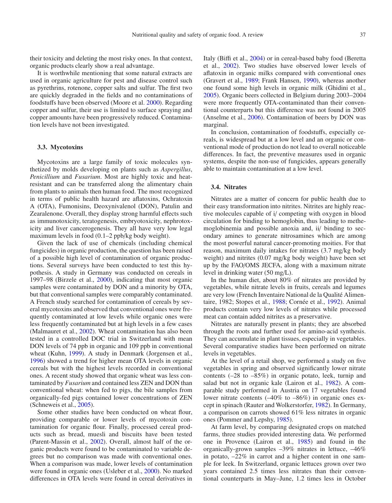their toxicity and deleting the most risky ones. In that context, organic products clearly show a real advantage.

It is worthwhile mentioning that some natural extracts are used in organic agriculture for pest and disease control such as pyrethrins, rotenone, copper salts and sulfur. The first two are quickly degraded in the fields and no contaminations of foodstuffs have been observed (Moore et al. 2000). Regarding copper and sulfur, their use is limited to surface spraying and copper amounts have been progressively reduced. Contamination levels have not been investigated.

#### **3.3. Mycotoxins**

Mycotoxins are a large family of toxic molecules synthetized by molds developing on plants such as *Aspergillus*, *Penicillium* and *Fusarium*. Most are highly toxic and heatresistant and can be transferred along the alimentary chain from plants to animals then human food. The most recognized in terms of public health hazard are aflatoxins, Ochratoxin A (OTA), Fumonisins, Deoxynivalenol (DON), Patulin and Zearalenone. Overall, they display strong harmful effects such as immunotoxicity, teratogenesis, embryotoxicity, nephrotoxicity and liver cancerogenesis. They all have very low legal maximum levels in food (0.1–2 ppb/kg body weight).

Given the lack of use of chemicals (including chemical fungicides) in organic production, the question has been raised of a possible high level of contamination of organic productions. Several surveys have been conducted to test this hypothesis. A study in Germany was conducted on cereals in 1997–98 (Birzele et al., 2000), indicating that most organic samples were contaminated by DON and a minority by OTA, but that conventional samples were comparably contaminated. A French study searched for contamination of cereals by several mycotoxins and observed that conventional ones were frequently contaminated at low levels while organic ones were less frequently contaminated but at high levels in a few cases (Malmauret et al., 2002). Wheat contamination has also been tested in a controlled DOC trial in Switzerland with mean DON levels of 74 ppb in organic and 109 ppb in conventional wheat (Kuhn, 1999). A study in Denmark (Jorgensen et al., 1996) showed a trend for higher mean OTA levels in organic cereals but with the highest levels recorded in conventional ones. A recent study showed that organic wheat was less contaminated by *Fusarium* and contained less ZEN and DON than conventional wheat: when fed to pigs, the bile samples from organically-fed pigs contained lower concentrations of ZEN (Schneweis et al., 2005).

Some other studies have been conducted on wheat flour, providing comparable or lower levels of mycotoxin contamination for organic flour. Finally, processed cereal products such as bread, muesli and biscuits have been tested (Parent-Massin et al., 2002). Overall, almost half of the organic products were found to be contaminated to variable degrees but no comparison was made with conventional ones. When a comparison was made, lower levels of contamination were found in organic ones (Usleber et al., 2000). No marked differences in OTA levels were found in cereal derivatives in

Italy (Biffi et al., 2004) or in cereal-based baby food (Beretta et al., 2002). Two studies have observed lower levels of aflatoxin in organic milks compared with conventional ones (Gravert et al., 1989; Frank Hansen, 1990), whereas another one found some high levels in organic milk (Ghidini et al., 2005). Organic beers collected in Belgium during 2003–2004 were more frequently OTA-contaminated than their conventional counterparts but this difference was not found in 2005 (Anselme et al., 2006). Contamination of beers by DON was marginal.

In conclusion, contamination of foodstuffs, especially cereals, is widespread but at a low level and an organic or conventional mode of production do not lead to overall noticeable differences. In fact, the preventive measures used in organic systems, despite the non-use of fungicides, appears generally able to maintain contamination at a low level.

### **3.4. Nitrates**

Nitrates are a matter of concern for public health due to their easy transformation into nitrites. Nitrites are highly reactive molecules capable of i/ competing with oxygen in blood circulation for binding to hemoglobin, thus leading to methemoglobinemia and possible anoxia and, ii/ binding to secondary amines to generate nitrosamines which are among the most powerful natural cancer-promoting moities. For that reason, maximum daily intakes for nitrates (3.7 mg/kg body weight) and nitrites (0.07 mg/kg body weight) have been set up by the FAO/OMS JECFA, along with a maximum nitrate level in drinking water (50 mg/L).

In the human diet, about 80% of nitrates are provided by vegetables, while nitrate levels in fruits, cereals and legumes are very low (French Inventaire National de la Qualité Alimentaire, 1982; Stopes et al., 1988; Cornée et al., 1992). Animal products contain very low levels of nitrates while processed meat can contain added nitrites as a preservative.

Nitrates are naturally present in plants; they are absorbed through the roots and further used for amino-acid synthesis. They can accumulate in plant tissues, especially in vegetables. Several comparative studies have been performed on nitrate levels in vegetables.

At the level of a retail shop, we performed a study on five vegetables in spring and observed significantly lower nitrate contents (–28 to –85%) in organic potato, leek, turnip and salad but not in organic kale (Lairon et al., 1982). A comparable study performed in Austria on 17 vegetables found lower nitrate contents (–40% to –86%) in organic ones except in spinach (Rauter and Wolkerstorfer, 1982). In Germany, a comparison on carrots showed 61% less nitrates in organic ones (Pommer and Lepshy, 1985).

At farm level, by comparing designated crops on matched farms, three studies provided interesting data. We performed one in Provence (Lairon et al., 1985) and found in the organically-grown samples –39% nitrates in lettuce, –46% in potato, –22% in carrot and a higher content in one sample for leek. In Switzerland, organic lettuces grown over two years contained 2.5 times less nitrates than their conventional counterparts in May–June, 1.2 times less in October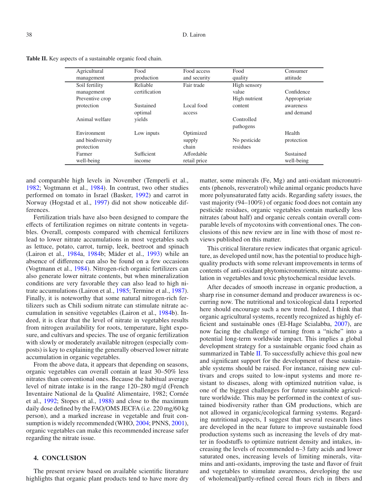| <b>Table II.</b> Key aspects of a sustainable organic food chain. |  |
|-------------------------------------------------------------------|--|
|-------------------------------------------------------------------|--|

| Agricultural     | Food          | Food access  | Food          | Consumer    |
|------------------|---------------|--------------|---------------|-------------|
| management       | production    | and security | quality       | attitude    |
| Soil fertility   | Reliable      | Fair trade   | High sensory  |             |
| management       | certification |              | value         | Confidence  |
| Preventive crop  |               |              | High nutrient | Appropriate |
| protection       | Sustained     | Local food   | content       | awareness   |
|                  | optimal       | access       |               | and demand  |
| Animal welfare   | yields        |              | Controlled    |             |
|                  |               |              | pathogens     |             |
| Environment      | Low inputs    | Optimized    |               | Health      |
| and biodiversity |               | supply       | No pesticide  | protection  |
| protection       |               | chain        | residues      |             |
| Farmer           | Sufficient    | Affordable   |               | Sustained   |
| well-being       | income        | retail price |               | well-being  |

and comparable high levels in November (Temperli et al., 1982; Vogtmann et al., 1984). In contrast, two other studies performed on tomato in Israel (Basker, 1992) and carrot in Norway (Hogstad et al., 1997) did not show noticeable differences.

Fertilization trials have also been designed to compare the effects of fertilization regimes on nitrate contents in vegetables. Overall, composts compared with chemical fertilizers lead to lower nitrate accumulations in most vegetables such as lettuce, potato, carrot, turnip, leek, beetroot and spinach (Lairon et al., 1984a, 1984b; Mäder et al., 1993) while an absence of difference can also be found on a few occasions (Vogtmann et al., 1984). Nitrogen-rich organic fertilizers can also generate lower nitrate contents, but when mineralization conditions are very favorable they can also lead to high nitrate accumulations (Lairon et al., 1985; Termine et al., 1987). Finally, it is noteworthy that some natural nitrogen-rich fertilizers such as Chili sodium nitrate can stimulate nitrate accumulation in sensitive vegetables (Lairon et al., 1984b). Indeed, it is clear that the level of nitrate in vegetables results from nitrogen availability for roots, temperature, light exposure, and cultivars and species. The use of organic fertilization with slowly or moderately available nitrogen (especially composts) is key to explaining the generally observed lower nitrate accumulation in organic vegetables.

From the above data, it appears that depending on seasons, organic vegetables can overall contain at least 30–50% less nitrates than conventional ones. Because the habitual average level of nitrate intake is in the range 120–280 mg/d (French Inventaire National de la Qualité Alimentaire, 1982; Cornée et al., 1992; Stopes et al., 1988) and close to the maximum daily dose defined by the FAO/OMS JECFA (i.e. 220 mg/60 kg person), and a marked increase in vegetable and fruit consumption is widely recommended (WHO, 2004; PNNS, 2001), organic vegetables can make this recommended increase safer regarding the nitrate issue.

### **4. CONCLUSION**

The present review based on available scientific literature highlights that organic plant products tend to have more dry matter, some minerals (Fe, Mg) and anti-oxidant micronutrients (phenols, resveratrol) while animal organic products have more polyunsaturated fatty acids. Regarding safety issues, the vast majority (94–100%) of organic food does not contain any pesticide residues, organic vegetables contain markedly less nitrates (about half) and organic cereals contain overall comparable levels of mycotoxins with conventional ones. The conclusions of this new review are in line with those of most reviews published on this matter.

This critical literature review indicates that organic agriculture, as developed until now, has the potential to produce highquality products with some relevant improvements in terms of contents of anti-oxidant phytomicronutrients, nitrate accumulation in vegetables and toxic phytochemical residue levels.

After decades of smooth increase in organic production, a sharp rise in consumer demand and producer awareness is occurring now. The nutritional and toxicological data I reported here should encourage such a new trend. Indeed, I think that organic agricultural systems, recently recognized as highly efficient and sustainable ones (El-Hage Scialabba, 2007), are now facing the challenge of turning from a "niche" into a potential long-term worldwide impact. This implies a global development strategy for a sustainable organic food chain as summarized in Table II. To successfully achieve this goal new and significant support for the development of these sustainable systems should be raised. For instance, raising new cultivars and crops suited to low-input systems and more resistant to diseases, along with optimized nutrition value, is one of the biggest challenges for future sustainable agriculture worldwide. This may be performed in the context of sustained biodiversity rather than GM productions, which are not allowed in organic/ecological farming systems. Regarding nutritional aspects, I suggest that several research lines are developed in the near future to improve sustainable food production systems such as increasing the levels of dry matter in foodstuffs to optimize nutrient density and intakes, increasing the levels of recommended n–3 fatty acids and lower saturated ones, increasing levels of limiting minerals, vitamins and anti-oxidants, improving the taste and flavor of fruit and vegetables to stimulate awareness, developing the use of wholemeal/partly-refined cereal flours rich in fibers and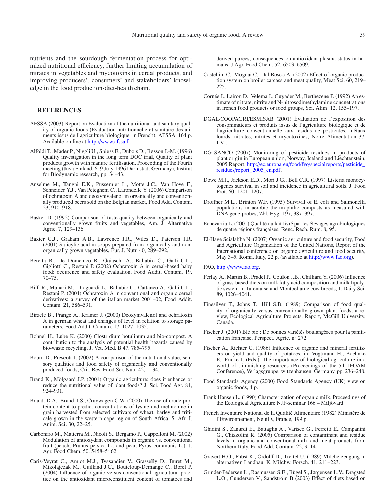nutrients and the sourdough fermentation process for optimized nutritional efficiency, further limiting accumulation of nitrates in vegetables and mycotoxins in cereal products, and improving producers', consumers' and stakeholders' knowledge in the food production-diet-health chain.

#### **REFERENCES**

- AFSSA (2003) Report on Evaluation of the nutritional and sanitary quality of organic foods (Evaluation nutritionnelle et sanitaire des aliments issus de l'agriculture biologique, in French), AFSSA, 164 p. Available on line at http://[www.afssa.fr.](http://www.afssa.fr)
- Alföldi T., Mader P., Niggli U., Spiess E., Dubois D., Besson J.-M. (1996) Quality investigation in the long term DOC trial, Quality of plant products growth with manure fertilisation, Proceeding of the Fourth meeting (Juva Finland, 6–9 July 1996 Darmstadt Germany), Institut for Biodynamic research, pp. 34–43.
- Anselme M., Tangni E.K., Pussemier L., Motte J.C., Van Hove F., Schneider Y.J., Van Peteghem C., Larondelle Y. (2006) Comparison of ochratoxin A and deoxynivalenol in organically and conventionally produced beers sold on the Belgian market, Food Add. Contam. 23, 910–918.
- Basker D. (1992) Comparison of taste quality between organically and conventionally grown fruits and vegetables, Am. J. Alternative Agric. 7, 129–136.
- Baxter G.J., Graham A.B., Lawrence J.R., Wiles D., Paterson J.R. (2001) Salicylic acid in soups prepared from organically and nonorganically grown vegetables, Eur. J. Nutr. 40, 289–292.
- Beretta B., De Domenico R., Gaiaschi A., Ballabio C., Galli C.L., Gigliotti C., Restani P. (2002) Ochratoxin A in cereal-based baby food: occurence and safety evaluation, Food Addit. Contam. 19, 70–75.
- Biffi R., Munari M., Dioguardi L., Ballabio C., Cattaneo A., Galli C.L., Restani P. (2004) Ochratoxin A in conventional and organic cereal derivatives: a survey of the italian market 2001–02, Food Addit. Contam. 21, 586–591.
- Birzele B., Prange A., Kramer J. (2000) Deoxynivalenol and ochratoxin A in german wheat and changes of level in relation to storage parameters, Food Addit. Contam. 17, 1027–1035.
- Bohnel H., Lube K. (2000) Clostridium botulinum and bio-compost. A contribution to the analysis of potential health hazards caused by bio-waste recycling, J. Vet. Med. B 47, 785–795.
- Bourn D., Prescott J. (2002) A comparison of the nutritional value, sensory qualities and food safety of organically and conventionally produced foods, Crit. Rev. Food Sci. Nutr. 42, 1–34.
- Brand K., Mölgaard J.P. (2001) Organic agriculture: does it enhance or reduce the nutritional value of plant foods? J. Sci. Food Agr. 81, 924–931.
- Brandt D.A., Brand T.S., Cruywagen C.W. (2000) The use of crude protein content to predict concentrations of lysine and methionine in grain harvested from selected cultivars of wheat, barley and triticale grown in the western cape region of South Africa, S. Afr. J. Anim. Sci. 30, 22–25.
- Carbonaro M., Matterra M., Nicoli S., Bergamo P., Cappelloni M. (2002) Modulation of antioxydant compounds in organic vs. conventional fruit (peach, Prunus persica L., and pear, Pyrus communis L.), J. Agr. Food Chem. 50, 5458–5462.
- Caris-Veyrat C., Amiot M.J., Tyssandier V., Grasselly D., Buret M., Mikolajczak M., Guilland J.C., Bouteloup-Demange C., Borel P. (2004) Influence of organic versus conventional agricultural practice on the antioxidant microconstituent content of tomatoes and

derived purees; consequences on antioxidant plasma status in humans, J Agr. Food Chem. 52, 6503–6509.

- Castellini C., Mugnai C., Dal Bosco A. (2002) Effect of organic production system on broiler carcass and meat quality, Meat Sci. 60, 219– 225.
- Cornée J., Lairon D., Velema J., Guyader M., Berthezene P. (1992) An estimate of nitrate, nitrite and N-nitrosodimethylamine concnetrations in french food products or food groups, Sci. Alim. 12, 155–197.
- DGAL/COOPAGRI/ESMISAB (2001) Évaluation de l'exposition des consommateurs et produits issus de l'agriculture biologique et de l'agriculture conventionnelle aux résidus de pesticides, métaux lourds, nitrates, nitrites et mycotoxines, Notre Alimentation 37, I-VI.
- DG SANCO (2007) Monitoring of pesticide residues in products of plant origin in European union, Norway, Iceland and Liechtenstein, 2005 Report. http://ec.europa.eu/food/fvo/[specialreports](http://ec.europa.eu/food/fvo/specialreports/pesticide_residues/report_2005_en.pdf)/pesticide\_ residues/[report\\_2005\\_en.pdf.](http://ec.europa.eu/food/fvo/specialreports/pesticide_residues/report_2005_en.pdf)
- Dowe M.J., Jackson E.D., Mori J.G., Bell C.R. (1997) Listeria monocytogenes survival in soil and incidence in agricultural soils, J. Food Prot. 60, 1201–1207.
- Droffner M.L., Brinton W.F. (1995) Survival of E. coli and Salmonella populations in aerobic thermophilic composts as measured with DNA gene probes, Zbl. Hyg. 197, 387–397.
- Echevarria L. (2001) Qualité du lait livré par les élevages agrobiologiques de quatre régions françaises, Renc. Rech. Rum. 8, 95.
- El-Hage Scialabba N. (2007) Organic agriculture and food security, Food and Agriculture Organization of the United Nations, Report of the International conference on organic agriculture and food security, May 3–5, Roma, Italy, 22 p. (available at http://[www.fao.org\)](http://www.fao.org).

FAO, http://[www.fao.org.](http://www.fao.org)

- Ferlay A., Martin B., Pradel P., Coulon J.B., Chilliard Y. (2006) Influence of grass-based diets on milk fatty acid composition and milk lipolytic system in Tarentaise and Montbeliarde cow breeds, J. Dairy Sci. 89, 4026–4041.
- Finesilver T., Johns T., Hill S.B. (1989) Comparison of food quality of organically versus conventionally grown plant foods, a review, Ecological Agriculture Projects, Report, McGill University, Canada.
- Fischer J. (2001) Blé bio : De bonnes variétés boulangères pour la panification française, Perspect. Agric. n◦ 272.
- Fischer A., Richter C. (1986) Influence of organic and mineral fertilizers on yield and quality of potatoes, in: Vogtmann H., Boehnke E., Fricke I. (Eds.), The importance of biological agriculture in a world of diminishing resources (Proceedings of the 5th IFOAM Conference), Verlagsgruppe, witzenhausen, Germany, pp. 236–248.
- Food Standards Agency (2000) Food Standards Agency (UK) view on organic foods, 4 p.
- Frank Hansen L. (1990) Characterization of organic milk, Proceedings of the Ecological Agriculture NJF-seminar 166 – Miljövard.
- French Inventaire National de la Qualité Alimentaire (1982) Ministère de l'Environnement, Neuilly, France, 199 p.
- Ghidini S., Zanardi E., Battaglia A., Varisco G., Ferretti E., Campanini G., Chizzolini R. (2005) Comparison of contaminant and residue levels in organic and conventional milk and meat products from Northern Italy, Food Add. Contam. 22, 9–14.
- Gravert H.O., Pabst K., Ordolff D., Treitel U. (1989) Milcherzeugung in alternativen Landbau, K. Milchw. Forsch. 41, 211–223.
- Grinder-Pedersen L., Rasmussen S.E., Bügel S., Jørgensen L.V., Dragsted L.O., Gundersen V., Sandström B (2003) Effect of diets based on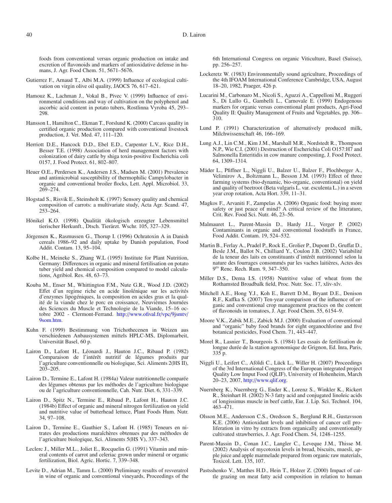foods from conventional versus organic production on intake and excretion of flavonoids and markers of antioxidative defense in humans, J. Agr. Food Chem. 51, 5671–5676.

- Gutierrez F., Arnaud T., Albi M.A. (1999) Influence of ecological cultivation on virgin olive oil quality, JAOCS 76, 617–621.
- Hamouz K., Lachman J., Vokal B., Pivec V. (1999) Influence of environmental conditions and way of cultivation on the polyphenol and ascorbic acid content in potato tubers, Rostlinna Vyroba 45, 293– 298.
- Hansson I., Hamilton C., Ekman T., Forslund K. (2000) Carcass quality in certified organic production compared with conventional livestock production, J. Vet. Med. 47, 111–120.
- Herriott D.E., Hancock D.D., Ebel E.D., Carpenter L.V., Rice D.H., Besser T.E. (1998) Association of herd management factors with colonization of dairy cattle by shiga toxin-positive Escherichia coli 0157, J. Food Protect. 61, 802–807.
- Heuer O.E., Perdersen K., Andersen J.S., Madsen M. (2001) Prevalence and antimicrobial susceptibility of thermophilic Campylobacter in organic and conventional broiler flocks, Lett. Appl. Microbiol. 33, 269–274.
- Hogstad S., Risvik E., Steinsholt K. (1997) Sensory quality and chemical composition of carrots: a multivariate study, Acta Agr. Scand. 47, 253–264.
- Hönikel K.O. (1998) Qualität ökologisch erzeugter Lebensmittel tierischer Herkunft., Dtsch. Tierärzt. Wschr. 105, 327–329.
- Jörgensen K., Rasmussen G., Thorup I. (1996) Ochratoxin A in Danish cereals 1986–92 and daily uptake by Danish population, Food Addit. Contam. 13, 95–104.
- Kolbe H., Meineke S., Zhang W.L (1995) Institute for Plant Nutrition, Germany: Differences in organic and mineral fertilisation on potato tuber yield and chemical composition compared to model calculations, Agribiol. Res. 48, 63–73.
- Kouba M., Enser M., Whittington F.M., Nute G.R., Wood J.D. (2002) Effet d'un regime riche en acide linolénique sur les activités d'enzymes lipogéniques, la composition en acides gras et la qualité de la viande chez le porc en croissance, Neuvièmes Journées des Sciences du Muscle et Technologie de la Viande, 15–16 octobre 2002 - Clermont-Ferrand. http://[www.ofival.fr](http://www.ofival.fr/vpc/9jsmtv/9som.htm)/vpc/9jsmtv/ [9som.htm.](http://www.ofival.fr/vpc/9jsmtv/9som.htm)
- Kuhn F. (1999) Bestimmung von Trichothecenen in Weizen aus verschiedenen Anbausystemen mittels HPLC-MS, Diplomarbeit, Universität Basel, 60 p.
- Lairon D., Lafont H., Léonardi J., Hauton J.C., Ribaud P. (1982) Comparaison de l'intérêt nutritif de légumes produits par l'agriculture conventionnelle ou biologique, Sci. Aliments 2(HS II), 203–205.
- Lairon D., Termine E., Lafont H. (1984a) Valeur nutritionnelle comparée des légumes obtenus par les méthodes de l'agriculture biologique ou de l'agriculture conventionnelle, Cah. Nutr. Diet. 6, 331–339.
- Lairon D., Spitz N., Termine E., Ribaud P., Lafont H., Hauton J.C. (1984b) Effect of organic and mineral nitrogen fertilization on yield and nutritive value of butterhead lettuce, Plant Foods Hum. Nutr. 34, 97–108.
- Lairon D., Termine E., Gauthier S., Lafont H. (1985) Teneurs en nitrates des productions maraîchères obtenues par des méthodes de l'agriculture biologique, Sci. Aliments 5(HS V), 337–343.
- Leclerc J., Miller M.L., Joliet E., Rocquelin G. (1991) Vitamin and mineral contents of carrot and celeriac grown under mineral or organic fertilization, Biol. Agric. Hortic. 7, 339–348.
- Levite D., Adrian M., Tamm L. (2000) Preliminary results of resveratrol in wine of organic and conventional vineyards, Proceedings of the

6th International Congress on organic Viticulture, Basel (Suisse), pp. 256–257.

- Lockeretz W. (1983) Environmentally sound agriculture, Proceedings of the 4th IFOAM International Conference Cambridge, USA, August 18–20, 1982, Praeger, 426 p.
- Lucarini M., Carbonaro M., Nicoli S., Aguzzi A., Cappelloni M., Ruggeri S., Di Lullo G., Gambelli L., Carnovale E. (1999) Endogenous markers for organic versus conventional plant products, Agri-Food Quality II: Quality Management of Fruits and Vegetables, pp. 306– 310.
- Lund P. (1991) Characterization of alternatively produced milk, Milchwissenschaft 46, 166–169.
- Lung A.J., Lin C.M., Kim J.M., Marshall M.R., Nordstedt R., Thompson N.P., Wie C.I. (2001) Destruction of Escherichia Coli O157:H7 and Salmonella Enteritidis in cow manure composting, J. Food Protect. 64, 1309–1314.
- Mäder L., Pfiffner L., Niggli U., Balzer U., Balzer F., Plochberger A., Velimirov A., Boltzmann L., Besson J.M. (1993) Effect of three farming systems (bio-dynamic, bio-organic, conventional) on yield and quality of beetroot (Beta vulgaris L. var. esculenta L.) in a seven year crop rotation, Acta Hort. 339, 11–31.
- Magkos F., Arvaniti F., Zampelas A. (2006) Organic food: buying more safety or just peace of mind? A critical review of the litterature, Crit. Rev. Food Sci. Nutr. 46, 23–56.
- Malmauret L., Parent-Massin D., Hardy J.L., Verger P. (2002) Contaminants in organic and conventional foodstuffs in France, Food Addit. Contam. 19, 524–532.
- Martin B., Ferlay A., Pradel P., Rock E., Grolier P., Dupont D., Gruffat D., Besle J.M., Ballot N., Chilliard Y., Coulon J.B. (2002) Variabilité de la teneur des laits en constituants d'intérêt nutritionnel selon la nature des fourrages consommés par les vaches laitières, Actes des 9es Renc. Rech. Rum. 9, 347–350.
- Miller D.S., Dema I.S. (1958) Nutritive value of wheat from the Rothamsted Broadbalk field, Proc. Nutr. Soc. 17, xliv-xlv.
- Mitchell A.E., Hong Y.J., Koh E., Barrett D.M., Bryant D.E., Denison R.F., Kaffka S. (2007) Ten-year comparison of the influence of organic and conventional crop management practices on the content of flavonoids in tomatoes, J. Agr. Food Chem. 55, 6154–9.
- Moore V.K., Zabik M.E., Zabick M.J. (2000) Evaluation of conventional and "organic" baby food brands for eight organochlorine and five botanical pesticides, Food Chem. 71, 443–447.
- Morel R., Lasnier T., Bourgeois S. (1984) Les essais de fertilisation de longue durée de la station agronomique de Grignon, Ed. Inra, Paris, 335 p.
- Niggli U., Leifert C., Aföldi C., Lück L., Willer H. (2007) Proceedings of the 3rd International Congress of the European integrated project Quality Low Imput Food (QLIF), University of Hohenheim, March 20–23, 2007, http://[www.qlif.org.](http://www.qlif.org)
- Nuernberg K., Nuernberg G., Ender K., Lorenz S., Winkler K., Rickert R., Steinhart H. (2002) N-3 fatty acid and conjugated linoleic acids of longissimus muscle in beef cattle, Eur. J. Lip. Sci. Technol. 104, 463–471.
- Olsson M.E., Andersson C.S., Oredsson S., Berglund R.H., Gustavsson K.E. (2006) Antioxidant levels and inhibition of cancer cell proliferation in vitro by extracts from organically and conventionally cultivated strawberries, J. Agr. Food Chem. 54, 1248–1255.
- Parent-Massin D., Conan J.C., Langler C., Leveque J.M., Thisse M. (2002) Analysis of mycotoxin levels in bread, biscuits, muesli, apple juice and apple marmelade prepared from organic raw materials, Toxicol. Lett. 135, 107.
- Pastsshenko V., Matthes H.D., Hein T., Holzer Z. (2000) Impact of cattle grazing on meat fatty acid composition in relation to human